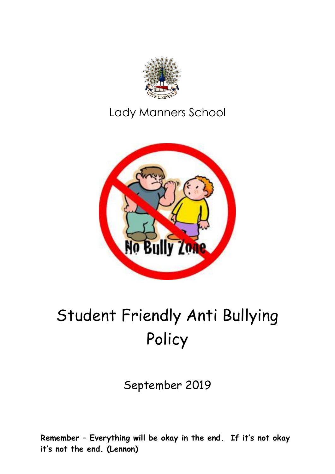

### Lady Manners School



# Student Friendly Anti Bullying Policy

September 2019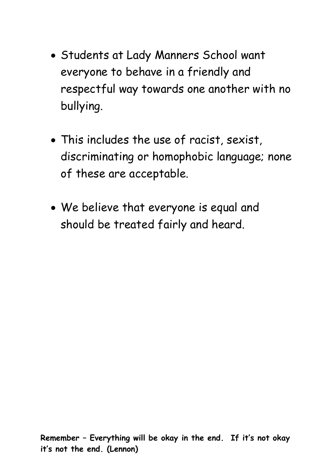- Students at Lady Manners School want everyone to behave in a friendly and respectful way towards one another with no bullying.
- This includes the use of racist, sexist, discriminating or homophobic language; none of these are acceptable.
- We believe that everyone is equal and should be treated fairly and heard.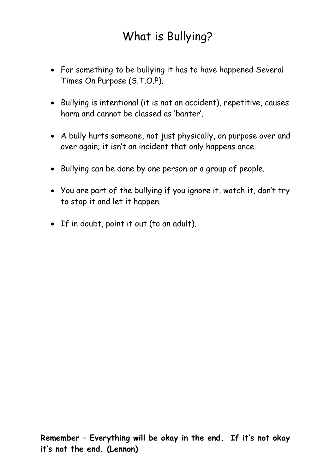## What is Bullying?

- For something to be bullying it has to have happened Several Times On Purpose (S.T.O.P).
- Bullying is intentional (it is not an accident), repetitive, causes harm and cannot be classed as 'banter'.
- A bully hurts someone, not just physically, on purpose over and over again; it isn't an incident that only happens once.
- Bullying can be done by one person or a group of people.
- You are part of the bullying if you ignore it, watch it, don't try to stop it and let it happen.
- If in doubt, point it out (to an adult).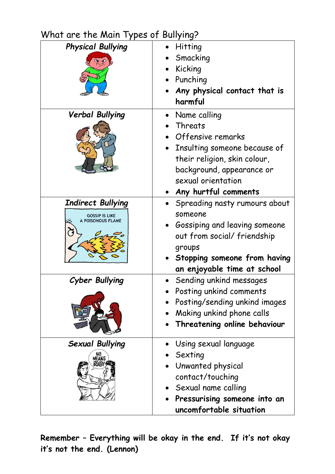#### What are the Main Types of Bullying?

| <b>Physical Bullying</b>                                               | Hitting<br>Smacking<br>Kicking<br>Punching<br>Any physical contact that is<br>harmful                                                                                                   |
|------------------------------------------------------------------------|-----------------------------------------------------------------------------------------------------------------------------------------------------------------------------------------|
| <b>Verbal Bullying</b>                                                 | Name calling<br>Threats<br>Offensive remarks<br>Insulting someone because of<br>their religion, skin colour,<br>background, appearance or<br>sexual orientation<br>Any hurtful comments |
| <b>Indirect Bullying</b><br><b>GOSSIP IS LIKE</b><br>A POISONOUS FLAME | Spreading nasty rumours about<br>someone<br>Gossiping and leaving someone<br>out from social/friendship<br>groups<br>Stopping someone from having<br>an enjoyable time at school        |
| Cyber Bullying                                                         | Sending unkind messages<br>Posting unkind comments<br>Posting/sending unkind images<br>Making unkind phone calls<br>Threatening online behaviour                                        |
| <b>Sexual Bullying</b><br>NO<br>MEANS<br>NIO)!                         | Using sexual language<br>Sexting<br>Unwanted physical<br>contact/touching<br>Sexual name calling<br>Pressurising someone into an<br>uncomfortable situation                             |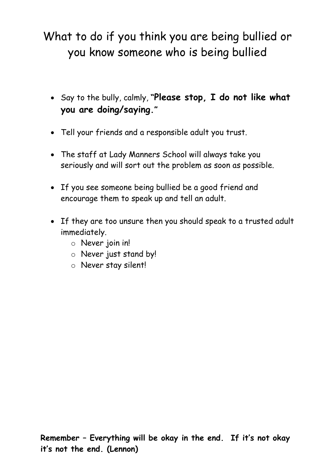# What to do if you think you are being bullied or you know someone who is being bullied

- Say to the bully, calmly, **"Please stop, I do not like what you are doing/saying."**
- Tell your friends and a responsible adult you trust.
- The staff at Lady Manners School will always take you seriously and will sort out the problem as soon as possible.
- If you see someone being bullied be a good friend and encourage them to speak up and tell an adult.
- If they are too unsure then you should speak to a trusted adult immediately.
	- o Never join in!
	- o Never just stand by!
	- o Never stay silent!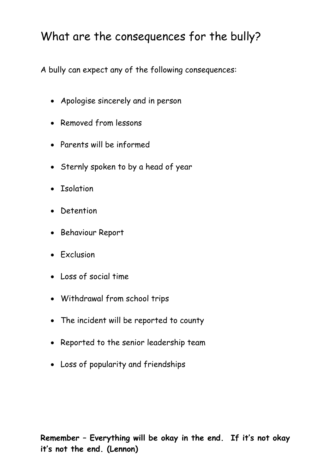## What are the consequences for the bully?

A bully can expect any of the following consequences:

- Apologise sincerely and in person
- Removed from lessons
- Parents will be informed
- Sternly spoken to by a head of year
- Isolation
- Detention
- Behaviour Report
- Exclusion
- Loss of social time
- Withdrawal from school trips
- The incident will be reported to county
- Reported to the senior leadership team
- Loss of popularity and friendships